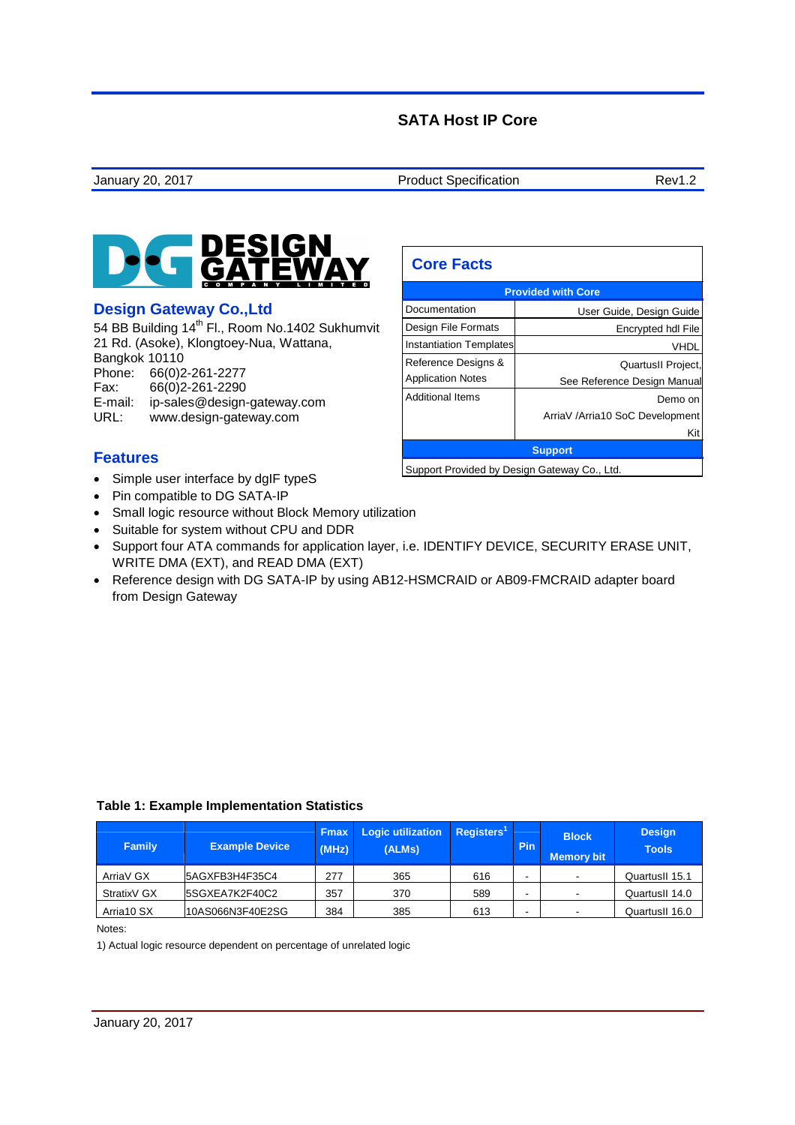# **SATA Host IP Core**

 **Core Facts** 



## **Design Gateway Co.,Ltd**

54 BB Building 14<sup>th</sup> Fl., Room No.1402 Sukhumvit 21 Rd. (Asoke), Klongtoey-Nua, Wattana, Bangkok 10110 Phone: 66(0)2-261-2277<br>Fax: 66(0)2-261-2290 Fax: 66(0)2-261-2290 E-mail: ip-sales@design-gateway.com URL: www.design-gateway.com

| <b>Instantiation Templates</b> | VHDL                                         |  |  |
|--------------------------------|----------------------------------------------|--|--|
| Reference Designs &            | QuartusII Project,                           |  |  |
| <b>Application Notes</b>       | See Reference Design Manual                  |  |  |
| <b>Additional Items</b>        | Demo on                                      |  |  |
|                                | ArriaV /Arria10 SoC Development              |  |  |
|                                | Kit                                          |  |  |
|                                | <b>Support</b>                               |  |  |
|                                | Support Provided by Design Gateway Co., Ltd. |  |  |

**Provided with Core** Documentation | User Guide, Design Guide Design File Formats | Encrypted hdl File

## **Features**

- Simple user interface by dglF typeS
- Pin compatible to DG SATA-IP
- Small logic resource without Block Memory utilization
- Suitable for system without CPU and DDR
- Support four ATA commands for application layer, i.e. IDENTIFY DEVICE, SECURITY ERASE UNIT, WRITE DMA (EXT), and READ DMA (EXT)
- Reference design with DG SATA-IP by using AB12-HSMCRAID or AB09-FMCRAID adapter board from Design Gateway

| <b>Family</b> | <b>Example Device</b> | <b>Fmax</b><br>(MHz) | <b>Logic utilization</b><br>(ALMs) | Registers <sup>1</sup> | Pin | <b>Block</b><br><b>Memory bit</b> | <b>Design</b><br><b>Tools</b> |
|---------------|-----------------------|----------------------|------------------------------------|------------------------|-----|-----------------------------------|-------------------------------|
| ArriaV GX     | 5AGXFB3H4F35C4        | 277                  | 365                                | 616                    |     |                                   | QuartusII 15.1                |
| StratixV GX   | 5SGXEA7K2F40C2        | 357                  | 370                                | 589                    |     |                                   | QuartusII 14.0                |
| Arria10 SX    | 10AS066N3F40E2SG      | 384                  | 385                                | 613                    |     |                                   | QuartusII 16.0                |

#### **Table 1: Example Implementation Statistics**

Notes:

1) Actual logic resource dependent on percentage of unrelated logic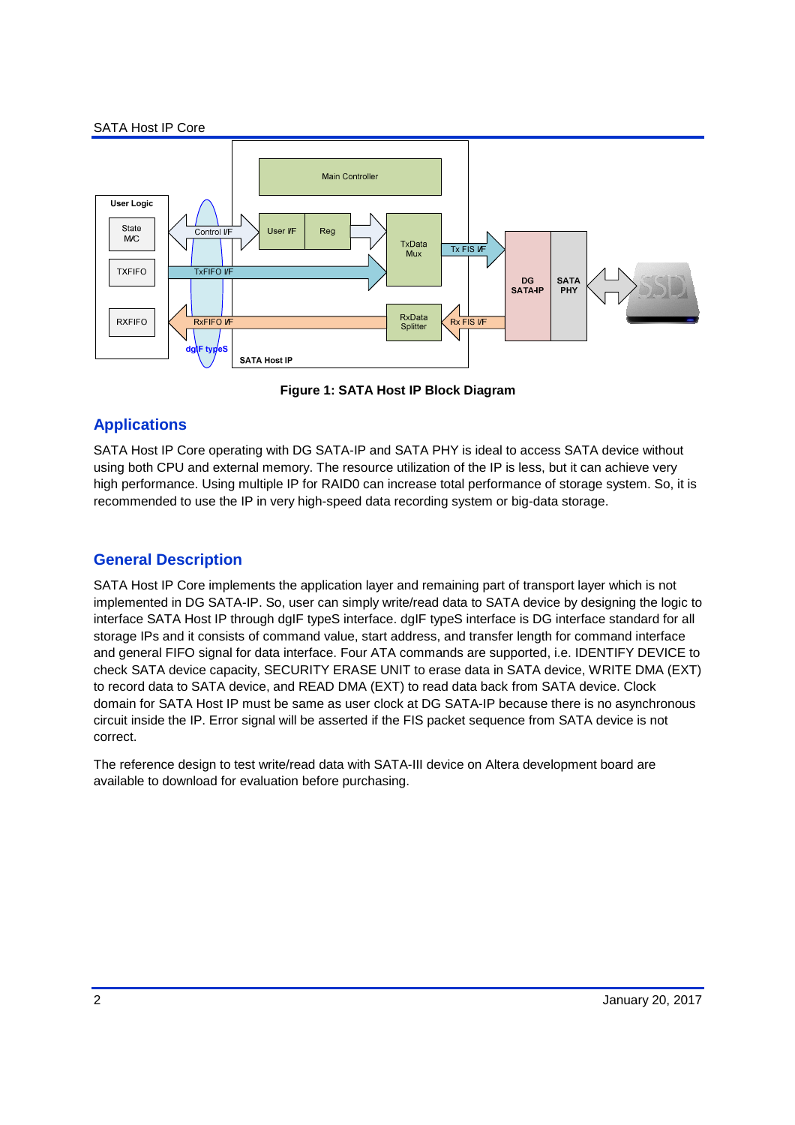#### SATA Host IP Core



**Figure 1: SATA Host IP Block Diagram** 

# **Applications**

SATA Host IP Core operating with DG SATA-IP and SATA PHY is ideal to access SATA device without using both CPU and external memory. The resource utilization of the IP is less, but it can achieve very high performance. Using multiple IP for RAID0 can increase total performance of storage system. So, it is recommended to use the IP in very high-speed data recording system or big-data storage.

# **General Description**

SATA Host IP Core implements the application layer and remaining part of transport layer which is not implemented in DG SATA-IP. So, user can simply write/read data to SATA device by designing the logic to interface SATA Host IP through dgIF typeS interface. dgIF typeS interface is DG interface standard for all storage IPs and it consists of command value, start address, and transfer length for command interface and general FIFO signal for data interface. Four ATA commands are supported, i.e. IDENTIFY DEVICE to check SATA device capacity, SECURITY ERASE UNIT to erase data in SATA device, WRITE DMA (EXT) to record data to SATA device, and READ DMA (EXT) to read data back from SATA device. Clock domain for SATA Host IP must be same as user clock at DG SATA-IP because there is no asynchronous circuit inside the IP. Error signal will be asserted if the FIS packet sequence from SATA device is not correct.

The reference design to test write/read data with SATA-III device on Altera development board are available to download for evaluation before purchasing.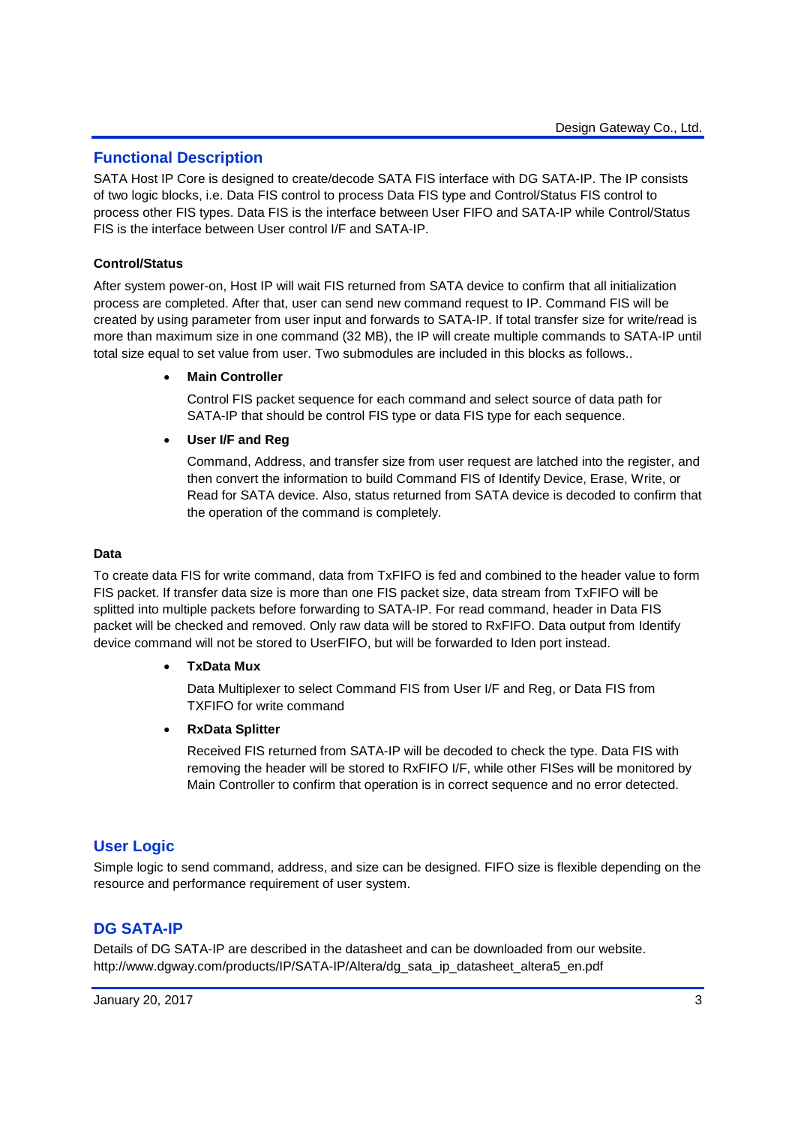## **Functional Description**

SATA Host IP Core is designed to create/decode SATA FIS interface with DG SATA-IP. The IP consists of two logic blocks, i.e. Data FIS control to process Data FIS type and Control/Status FIS control to process other FIS types. Data FIS is the interface between User FIFO and SATA-IP while Control/Status FIS is the interface between User control I/F and SATA-IP.

#### **Control/Status**

After system power-on, Host IP will wait FIS returned from SATA device to confirm that all initialization process are completed. After that, user can send new command request to IP. Command FIS will be created by using parameter from user input and forwards to SATA-IP. If total transfer size for write/read is more than maximum size in one command (32 MB), the IP will create multiple commands to SATA-IP until total size equal to set value from user. Two submodules are included in this blocks as follows..

#### • **Main Controller**

Control FIS packet sequence for each command and select source of data path for SATA-IP that should be control FIS type or data FIS type for each sequence.

#### • **User I/F and Reg**

Command, Address, and transfer size from user request are latched into the register, and then convert the information to build Command FIS of Identify Device, Erase, Write, or Read for SATA device. Also, status returned from SATA device is decoded to confirm that the operation of the command is completely.

#### **Data**

To create data FIS for write command, data from TxFIFO is fed and combined to the header value to form FIS packet. If transfer data size is more than one FIS packet size, data stream from TxFIFO will be splitted into multiple packets before forwarding to SATA-IP. For read command, header in Data FIS packet will be checked and removed. Only raw data will be stored to RxFIFO. Data output from Identify device command will not be stored to UserFIFO, but will be forwarded to Iden port instead.

#### • **TxData Mux**

Data Multiplexer to select Command FIS from User I/F and Reg, or Data FIS from TXFIFO for write command

#### • **RxData Splitter**

Received FIS returned from SATA-IP will be decoded to check the type. Data FIS with removing the header will be stored to RxFIFO I/F, while other FISes will be monitored by Main Controller to confirm that operation is in correct sequence and no error detected.

## **User Logic**

Simple logic to send command, address, and size can be designed. FIFO size is flexible depending on the resource and performance requirement of user system.

## **DG SATA-IP**

Details of DG SATA-IP are described in the datasheet and can be downloaded from our website. http://www.dgway.com/products/IP/SATA-IP/Altera/dg\_sata\_ip\_datasheet\_altera5\_en.pdf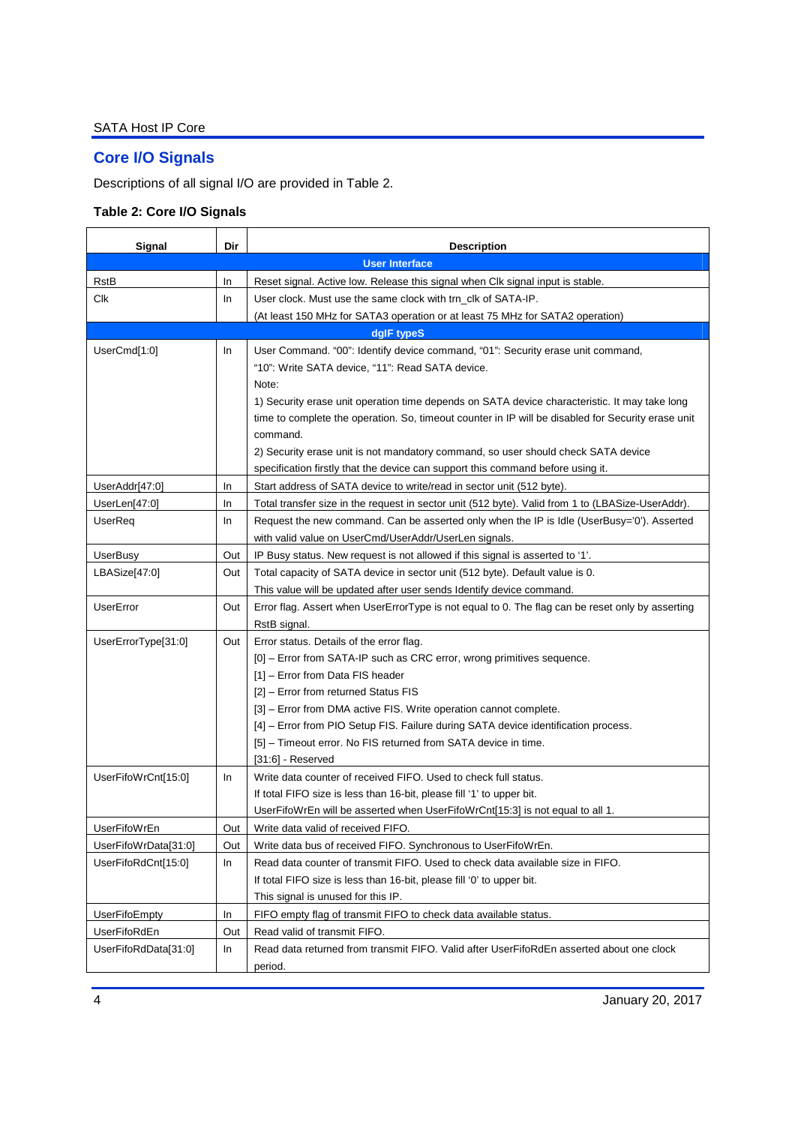# **Core I/O Signals**

Descriptions of all signal I/O are provided in Table 2.

# **Table 2: Core I/O Signals**

| Signal               | Dir | <b>Description</b>                                                                                               |
|----------------------|-----|------------------------------------------------------------------------------------------------------------------|
|                      |     | <b>User Interface</b>                                                                                            |
| RstB                 | In. | Reset signal. Active low. Release this signal when Clk signal input is stable.                                   |
| Clk                  | In. | User clock. Must use the same clock with trn_clk of SATA-IP.                                                     |
|                      |     | (At least 150 MHz for SATA3 operation or at least 75 MHz for SATA2 operation)                                    |
|                      |     | dglF typeS                                                                                                       |
| UserCmd[1:0]         | In. | User Command. "00": Identify device command, "01": Security erase unit command,                                  |
|                      |     | "10": Write SATA device, "11": Read SATA device.                                                                 |
|                      |     | Note:                                                                                                            |
|                      |     | 1) Security erase unit operation time depends on SATA device characteristic. It may take long                    |
|                      |     | time to complete the operation. So, timeout counter in IP will be disabled for Security erase unit               |
|                      |     | command.                                                                                                         |
|                      |     | 2) Security erase unit is not mandatory command, so user should check SATA device                                |
|                      |     | specification firstly that the device can support this command before using it.                                  |
| UserAddr[47:0]       | In. | Start address of SATA device to write/read in sector unit (512 byte).                                            |
| UserLen[47:0]        | In. | Total transfer size in the request in sector unit (512 byte). Valid from 1 to (LBASize-UserAddr).                |
| UserReq              | In. | Request the new command. Can be asserted only when the IP is Idle (UserBusy='0'). Asserted                       |
|                      |     | with valid value on UserCmd/UserAddr/UserLen signals.                                                            |
| <b>UserBusy</b>      | Out | IP Busy status. New request is not allowed if this signal is asserted to '1'.                                    |
| LBASize[47:0]        | Out | Total capacity of SATA device in sector unit (512 byte). Default value is 0.                                     |
|                      |     | This value will be updated after user sends Identify device command.                                             |
| UserError            | Out | Error flag. Assert when UserErrorType is not equal to 0. The flag can be reset only by asserting<br>RstB signal. |
| UserErrorType[31:0]  | Out | Error status. Details of the error flag.                                                                         |
|                      |     | [0] - Error from SATA-IP such as CRC error, wrong primitives sequence.                                           |
|                      |     | [1] - Error from Data FIS header                                                                                 |
|                      |     | [2] - Error from returned Status FIS                                                                             |
|                      |     | [3] - Error from DMA active FIS. Write operation cannot complete.                                                |
|                      |     | [4] - Error from PIO Setup FIS. Failure during SATA device identification process.                               |
|                      |     | [5] - Timeout error. No FIS returned from SATA device in time.                                                   |
|                      |     | $[31:6]$ - Reserved                                                                                              |
| UserFifoWrCnt[15:0]  | In. | Write data counter of received FIFO. Used to check full status.                                                  |
|                      |     | If total FIFO size is less than 16-bit, please fill '1' to upper bit.                                            |
|                      |     | UserFifoWrEn will be asserted when UserFifoWrCnt[15:3] is not equal to all 1.                                    |
| <b>UserFifoWrEn</b>  | Out | Write data valid of received FIFO.                                                                               |
| UserFifoWrData[31:0] | Out | Write data bus of received FIFO. Synchronous to UserFifoWrEn.                                                    |
| UserFifoRdCnt[15:0]  | In  | Read data counter of transmit FIFO. Used to check data available size in FIFO.                                   |
|                      |     | If total FIFO size is less than 16-bit, please fill '0' to upper bit.                                            |
|                      |     | This signal is unused for this IP.                                                                               |
| <b>UserFifoEmpty</b> | In  | FIFO empty flag of transmit FIFO to check data available status.                                                 |
| UserFifoRdEn         | Out | Read valid of transmit FIFO.                                                                                     |
| UserFifoRdData[31:0] | In  | Read data returned from transmit FIFO. Valid after UserFifoRdEn asserted about one clock                         |
|                      |     | period.                                                                                                          |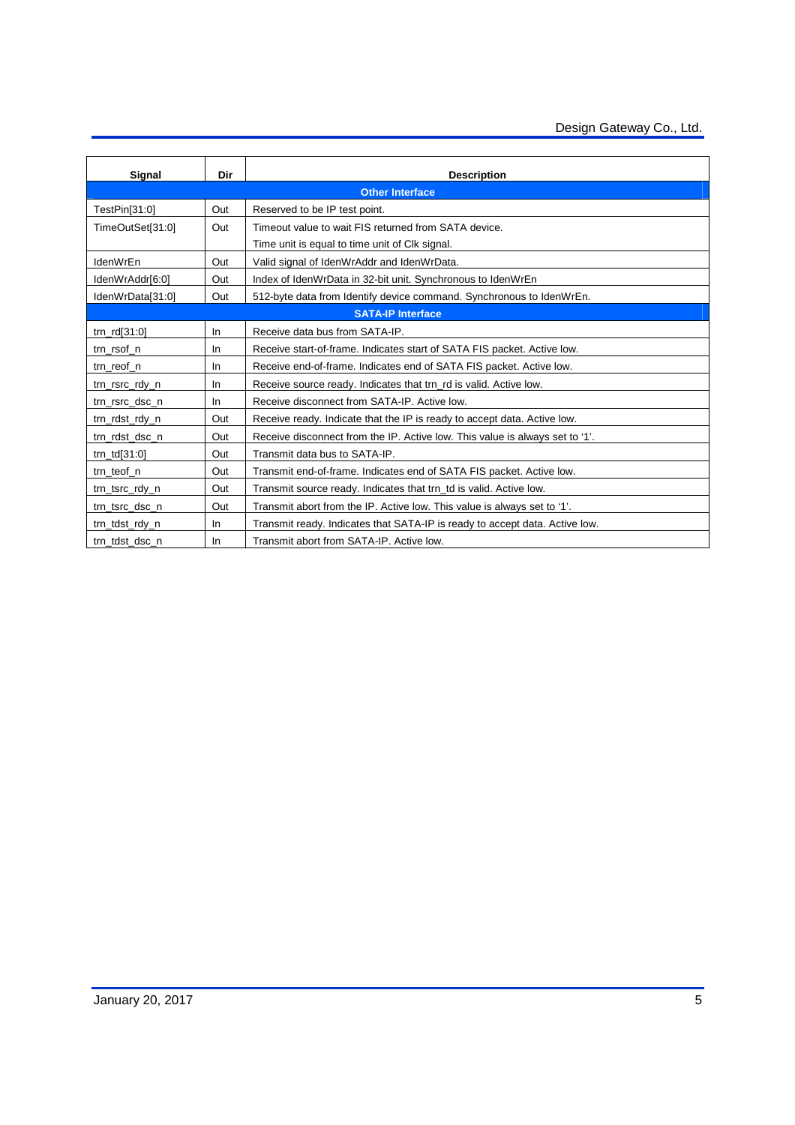| Signal                   | Dir       | <b>Description</b>                                                           |  |  |
|--------------------------|-----------|------------------------------------------------------------------------------|--|--|
| <b>Other Interface</b>   |           |                                                                              |  |  |
| TestPin[31:0]            | Out       | Reserved to be IP test point.                                                |  |  |
| TimeOutSet[31:0]         | Out       | Timeout value to wait FIS returned from SATA device.                         |  |  |
|                          |           | Time unit is equal to time unit of Clk signal.                               |  |  |
| IdenWrEn                 | Out       | Valid signal of IdenWrAddr and IdenWrData.                                   |  |  |
| IdenWrAddr[6:0]          | Out       | Index of IdenWrData in 32-bit unit. Synchronous to IdenWrEn                  |  |  |
| IdenWrData[31:0]         | Out       | 512-byte data from Identify device command. Synchronous to IdenWrEn.         |  |  |
| <b>SATA-IP Interface</b> |           |                                                                              |  |  |
| $trn_rd[31:0]$           | <b>In</b> | Receive data bus from SATA-IP.                                               |  |  |
| trn_rsof_n               | In        | Receive start-of-frame. Indicates start of SATA FIS packet. Active low.      |  |  |
| trn_reof_n               | <b>In</b> | Receive end-of-frame. Indicates end of SATA FIS packet. Active low.          |  |  |
| trn_rsrc_rdy_n           | In        | Receive source ready. Indicates that trn rd is valid. Active low.            |  |  |
| trn_rsrc_dsc_n           | In        | Receive disconnect from SATA-IP. Active low.                                 |  |  |
| trn_rdst_rdy_n           | Out       | Receive ready. Indicate that the IP is ready to accept data. Active low.     |  |  |
| trn_rdst_dsc_n           | Out       | Receive disconnect from the IP. Active low. This value is always set to '1'. |  |  |
| $trn_t d[31:0]$          | Out       | Transmit data bus to SATA-IP.                                                |  |  |
| trn teof n               | Out       | Transmit end-of-frame. Indicates end of SATA FIS packet. Active low.         |  |  |
| trn_tsrc_rdy_n           | Out       | Transmit source ready. Indicates that trn_td is valid. Active low.           |  |  |
| trn_tsrc_dsc_n           | Out       | Transmit abort from the IP. Active low. This value is always set to '1'.     |  |  |
| trn_tdst_rdy_n           | In        | Transmit ready. Indicates that SATA-IP is ready to accept data. Active low.  |  |  |
| trn tdst dsc n           | <b>In</b> | Transmit abort from SATA-IP. Active low.                                     |  |  |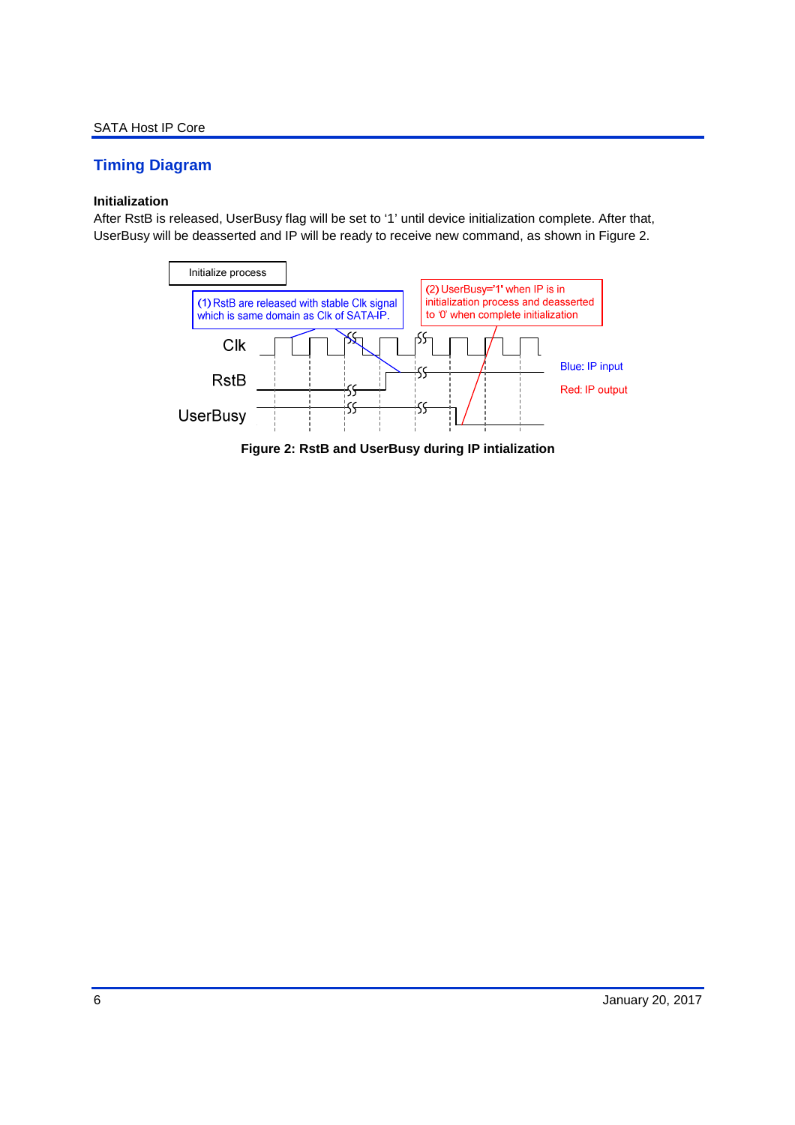# **Timing Diagram**

### **Initialization**

After RstB is released, UserBusy flag will be set to '1' until device initialization complete. After that, UserBusy will be deasserted and IP will be ready to receive new command, as shown in Figure 2.



**Figure 2: RstB and UserBusy during IP intialization**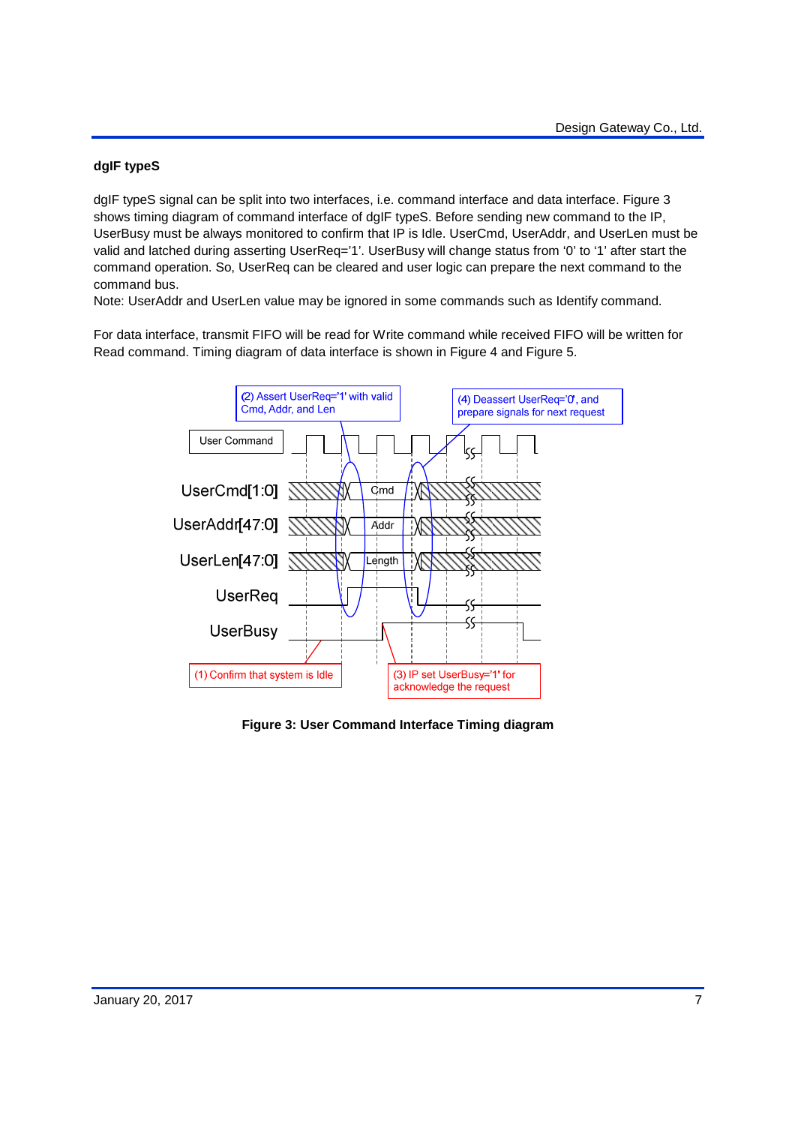## **dgIF typeS**

dgIF typeS signal can be split into two interfaces, i.e. command interface and data interface. Figure 3 shows timing diagram of command interface of dgIF typeS. Before sending new command to the IP, UserBusy must be always monitored to confirm that IP is Idle. UserCmd, UserAddr, and UserLen must be valid and latched during asserting UserReq='1'. UserBusy will change status from '0' to '1' after start the command operation. So, UserReq can be cleared and user logic can prepare the next command to the command bus.

Note: UserAddr and UserLen value may be ignored in some commands such as Identify command.

For data interface, transmit FIFO will be read for Write command while received FIFO will be written for Read command. Timing diagram of data interface is shown in Figure 4 and Figure 5.



**Figure 3: User Command Interface Timing diagram**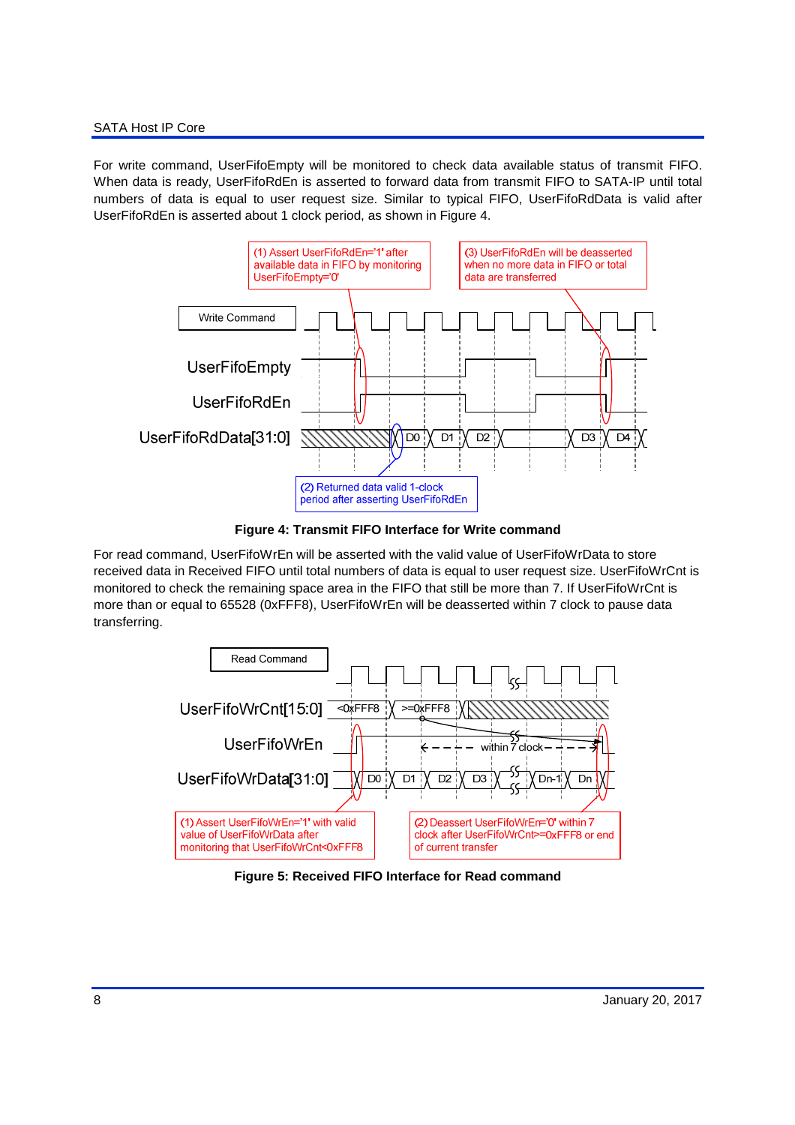#### SATA Host IP Core

For write command, UserFifoEmpty will be monitored to check data available status of transmit FIFO. When data is ready, UserFifoRdEn is asserted to forward data from transmit FIFO to SATA-IP until total numbers of data is equal to user request size. Similar to typical FIFO, UserFifoRdData is valid after UserFifoRdEn is asserted about 1 clock period, as shown in Figure 4.



**Figure 4: Transmit FIFO Interface for Write command**

For read command, UserFifoWrEn will be asserted with the valid value of UserFifoWrData to store received data in Received FIFO until total numbers of data is equal to user request size. UserFifoWrCnt is monitored to check the remaining space area in the FIFO that still be more than 7. If UserFifoWrCnt is more than or equal to 65528 (0xFFF8), UserFifoWrEn will be deasserted within 7 clock to pause data transferring.



**Figure 5: Received FIFO Interface for Read command**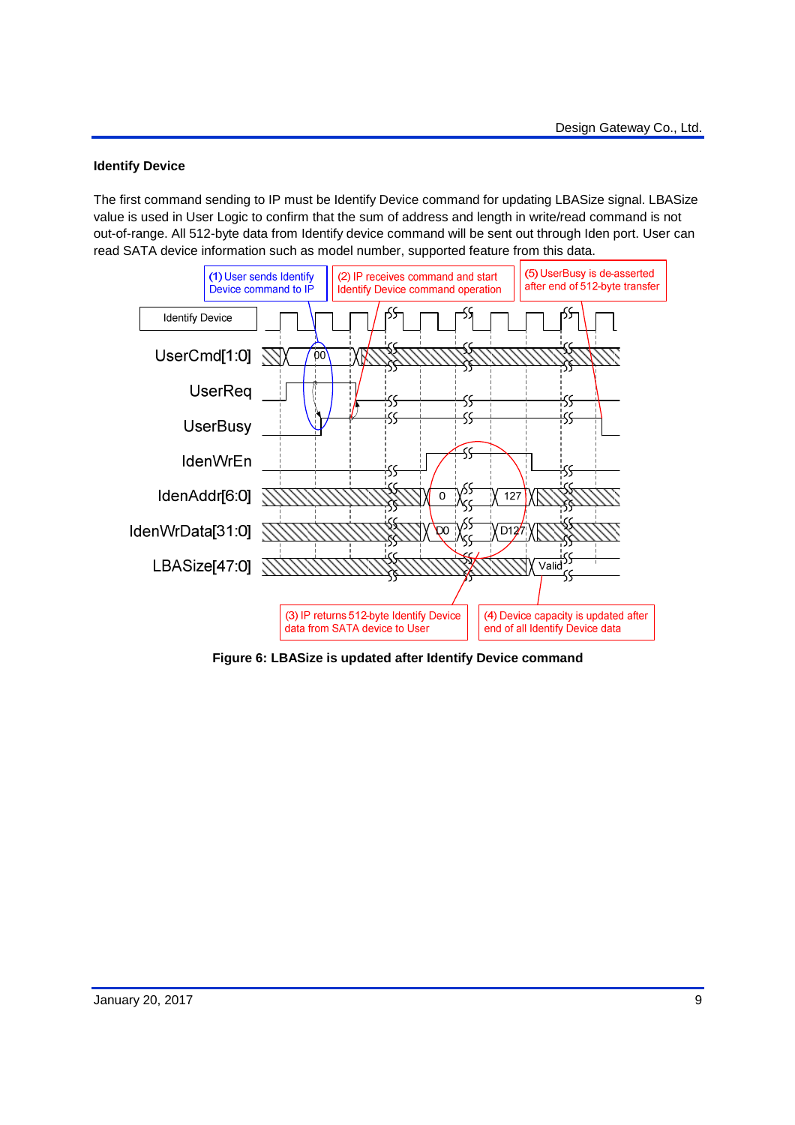### **Identify Device**

The first command sending to IP must be Identify Device command for updating LBASize signal. LBASize value is used in User Logic to confirm that the sum of address and length in write/read command is not out-of-range. All 512-byte data from Identify device command will be sent out through Iden port. User can read SATA device information such as model number, supported feature from this data.



**Figure 6: LBASize is updated after Identify Device command**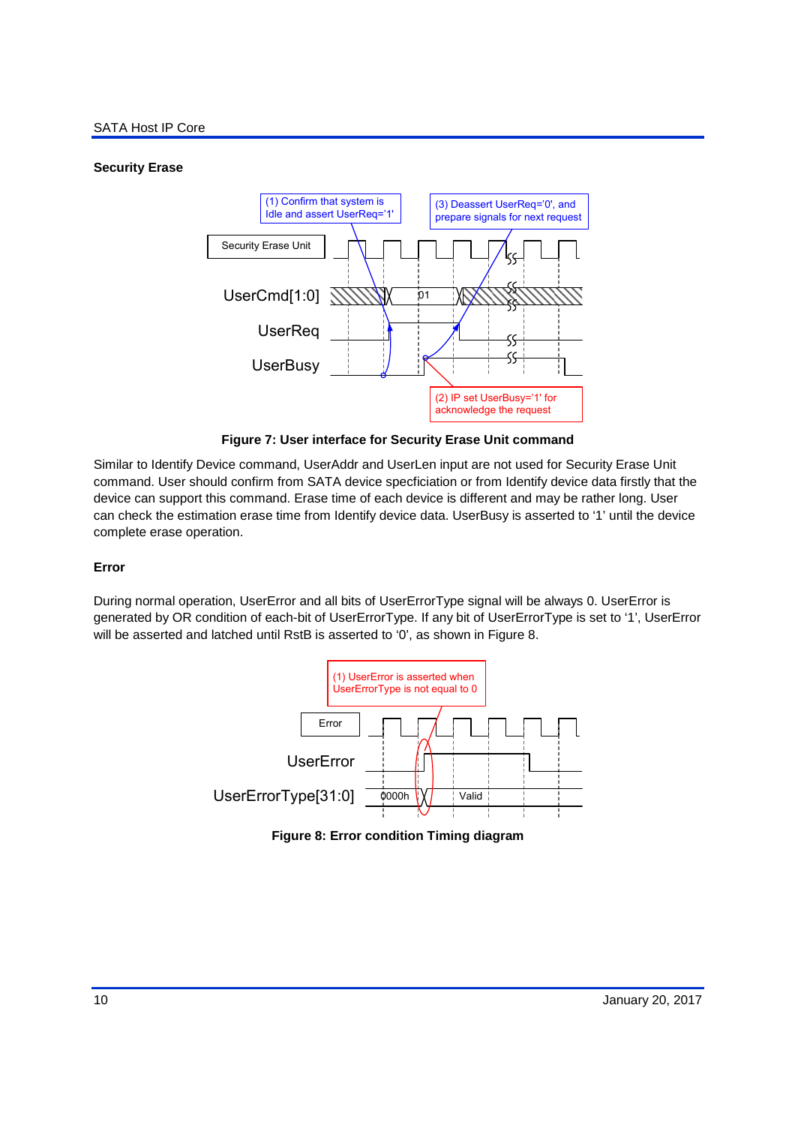## **Security Erase**



**Figure 7: User interface for Security Erase Unit command** 

Similar to Identify Device command, UserAddr and UserLen input are not used for Security Erase Unit command. User should confirm from SATA device specficiation or from Identify device data firstly that the device can support this command. Erase time of each device is different and may be rather long. User can check the estimation erase time from Identify device data. UserBusy is asserted to '1' until the device complete erase operation.

## **Error**

During normal operation, UserError and all bits of UserErrorType signal will be always 0. UserError is generated by OR condition of each-bit of UserErrorType. If any bit of UserErrorType is set to '1', UserError will be asserted and latched until RstB is asserted to '0', as shown in Figure 8.



**Figure 8: Error condition Timing diagram**